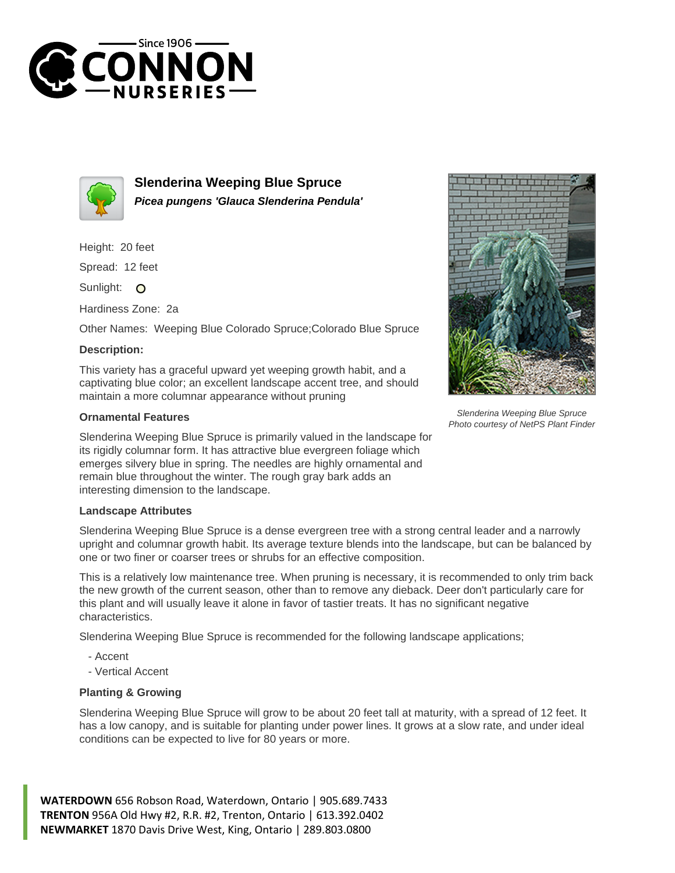



**Slenderina Weeping Blue Spruce Picea pungens 'Glauca Slenderina Pendula'**

Height: 20 feet

Spread: 12 feet

Sunlight: O

Hardiness Zone: 2a

Other Names: Weeping Blue Colorado Spruce;Colorado Blue Spruce

## **Description:**

This variety has a graceful upward yet weeping growth habit, and a captivating blue color; an excellent landscape accent tree, and should maintain a more columnar appearance without pruning

## **Ornamental Features**

Slenderina Weeping Blue Spruce is primarily valued in the landscape for its rigidly columnar form. It has attractive blue evergreen foliage which emerges silvery blue in spring. The needles are highly ornamental and remain blue throughout the winter. The rough gray bark adds an interesting dimension to the landscape.

## **Landscape Attributes**

Slenderina Weeping Blue Spruce is a dense evergreen tree with a strong central leader and a narrowly upright and columnar growth habit. Its average texture blends into the landscape, but can be balanced by one or two finer or coarser trees or shrubs for an effective composition.

This is a relatively low maintenance tree. When pruning is necessary, it is recommended to only trim back the new growth of the current season, other than to remove any dieback. Deer don't particularly care for this plant and will usually leave it alone in favor of tastier treats. It has no significant negative characteristics.

Slenderina Weeping Blue Spruce is recommended for the following landscape applications;

- Accent
- Vertical Accent

## **Planting & Growing**

Slenderina Weeping Blue Spruce will grow to be about 20 feet tall at maturity, with a spread of 12 feet. It has a low canopy, and is suitable for planting under power lines. It grows at a slow rate, and under ideal conditions can be expected to live for 80 years or more.

**WATERDOWN** 656 Robson Road, Waterdown, Ontario | 905.689.7433 **TRENTON** 956A Old Hwy #2, R.R. #2, Trenton, Ontario | 613.392.0402 **NEWMARKET** 1870 Davis Drive West, King, Ontario | 289.803.0800



Slenderina Weeping Blue Spruce Photo courtesy of NetPS Plant Finder